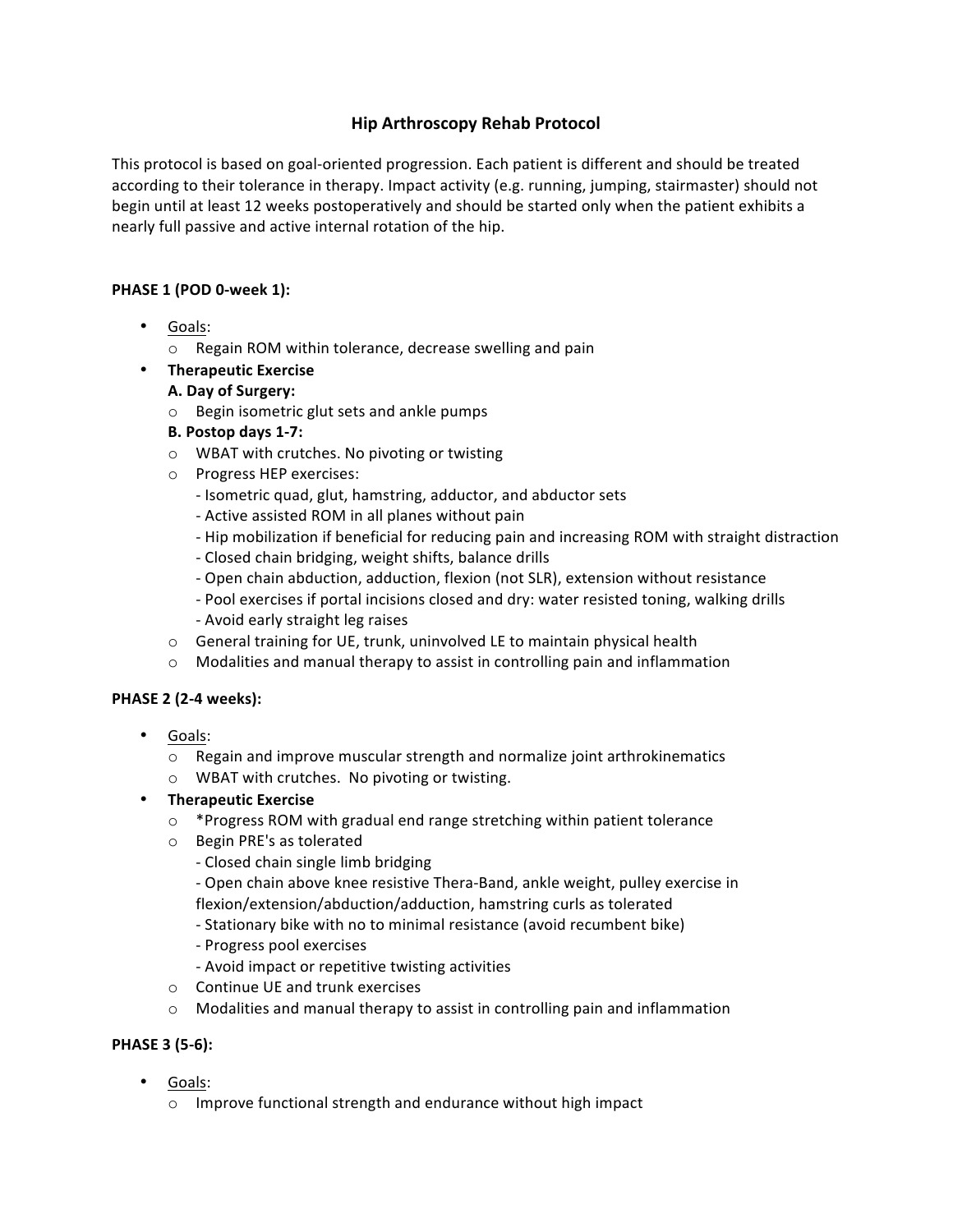# **Hip Arthroscopy Rehab Protocol**

This protocol is based on goal-oriented progression. Each patient is different and should be treated according to their tolerance in therapy. Impact activity (e.g. running, jumping, stairmaster) should not begin until at least 12 weeks postoperatively and should be started only when the patient exhibits a nearly full passive and active internal rotation of the hip.

### **PHASE 1 (POD 0-week 1):**

- Goals:
	- $\circ$  Regain ROM within tolerance, decrease swelling and pain
- **Therapeutic Exercise**

### **A. Day of Surgery:**

- $\circ$  Begin isometric glut sets and ankle pumps
- **B. Postop days 1-7:**
- o WBAT with crutches. No pivoting or twisting
- o Progress HEP exercises:
	- Isometric quad, glut, hamstring, adductor, and abductor sets
	- Active assisted ROM in all planes without pain
	- Hip mobilization if beneficial for reducing pain and increasing ROM with straight distraction
	- Closed chain bridging, weight shifts, balance drills
	- Open chain abduction, adduction, flexion (not SLR), extension without resistance
	- Pool exercises if portal incisions closed and dry: water resisted toning, walking drills - Avoid early straight leg raises
- $\circ$  General training for UE, trunk, uninvolved LE to maintain physical health
- $\circ$  Modalities and manual therapy to assist in controlling pain and inflammation

#### **PHASE 2 (2-4 weeks):**

- Goals:
	- $\circ$  Regain and improve muscular strength and normalize joint arthrokinematics
	- o WBAT with crutches. No pivoting or twisting.

## • **Therapeutic Exercise**

- $\circ$  \*Progress ROM with gradual end range stretching within patient tolerance
- o Begin PRE's as tolerated
	- Closed chain single limb bridging
	- Open chain above knee resistive Thera-Band, ankle weight, pulley exercise in flexion/extension/abduction/adduction, hamstring curls as tolerated
	- Stationary bike with no to minimal resistance (avoid recumbent bike)
	- Progress pool exercises
	- Avoid impact or repetitive twisting activities
- $\circ$  Continue UE and trunk exercises
- $\circ$  Modalities and manual therapy to assist in controlling pain and inflammation

## **PHASE 3 (5-6):**

- Goals:
	- $\circ$  Improve functional strength and endurance without high impact